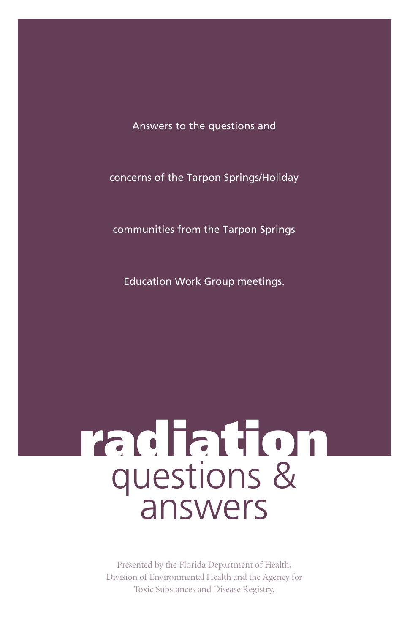Answers to the questions and

concerns of the Tarpon Springs/Holiday

communities from the Tarpon Springs

Education Work Group meetings.

# radiation questions & answers

Presented by the Florida Department of Health, Division of Environmental Health and the Agency for Toxic Substances and Disease Registry.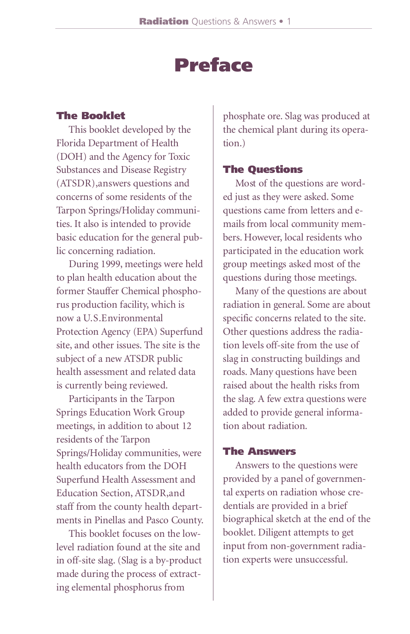# Preface

#### The Booklet

This booklet developed by the Florida Department of Health (DOH) and the Agency for Toxic Substances and Disease Registry (ATSDR), answers questions and concerns of some residents of the Tarpon Springs/Holiday communities. It also is intended to provide basic education for the general public concerning radiation.

During 1999, meetings were held to plan health education about the former Stauffer Chemical phosphorus production facility, which is now a U.S.Environmental Protection Agency (EPA) Superfund site, and other issues. The site is the subject of a new ATSDR public health assessment and related data is currently being reviewed.

Participants in the Tarpon Springs Education Work Group meetings, in addition to about 12 residents of the Tarpon Springs/Holiday communities, were health educators from the DOH Superfund Health Assessment and Education Section, ATSDR, and staff from the county health departments in Pinellas and Pasco County.

This booklet focuses on the lowlevel radiation found at the site and in off-site slag. (Slag is a by-product made during the process of extracting elemental phosphorus from

phosphate ore. Slag was produced at the chemical plant during its operation.)

#### The Questions

Most of the questions are worded just as they were asked. Some questions came from letters and emails from local community members. However, local residents who participated in the education work group meetings asked most of the questions during those meetings.

Many of the questions are about radiation in general. Some are about specific concerns related to the site. Other questions address the radiation levels off-site from the use of slag in constructing buildings and roads. Many questions have been raised about the health risks from the slag. A few extra questions were added to provide general information about radiation

#### The Answers

Answers to the questions were provided by a panel of governmental experts on radiation whose credentials are provided in a brief biographical sketch at the end of the booklet. Diligent attempts to get input from non-government radiation experts were unsuccessful.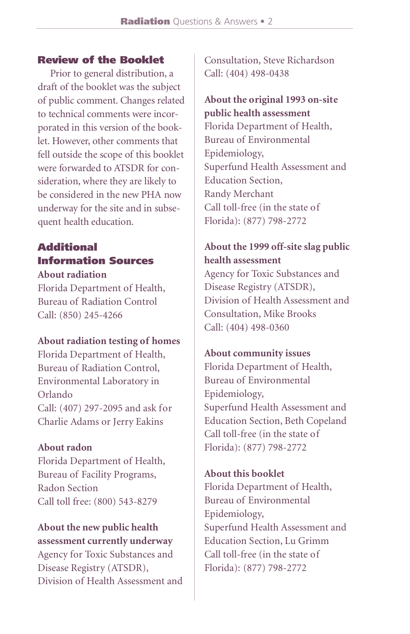#### Review of the Booklet

Prior to general distribution, a draft of the booklet was the subject of public comment. Changes related to technical comments were incorporated in this version of the booklet. However, other comments that fell outside the scope of this booklet were forwarded to ATSDR for consideration, where they are likely to be considered in the new PHA now underway for the site and in subsequent health education.

# **Additional** Information Sources

#### **About radiation**

Florida Department of Health, Bureau of Radiation Control Call: (850) 245-4266

#### **About radiation testing of homes**

Florida Department of Health, Bureau of Radiation Control, Environmental Laboratory in Orlando Call: (407) 297-2095 and ask for Charlie Adams or Jerry Eakins

#### **About radon**

Florida Department of Health, Bureau of Facility Programs, Radon Section Call toll free: (800) 543-8279

#### **About the new public health assessment currently underway**

Agency for Toxic Substances and Disease Registry (ATSDR), Division of Health Assessment and

Consultation, Steve Richardson Call: (404) 498-0438

**About the original 1993 on-site public health assessment** Florida Department of Health, Bureau of Environmental Epidemiology, Superfund Health Assessment and Education Section, Randy Merchant Call toll-free (in the state of Florida): (877) 798-2772

# **About the 1999 off-site slag public health assessment**

Agency for Toxic Substances and Disease Registry (ATSDR), Division of Health Assessment and Consultation, Mike Brooks Call: (404) 498-0360

#### **About community issues**

Florida Department of Health, Bureau of Environmental Epidemiology, Superfund Health Assessment and Education Section, Beth Copeland Call toll-free (in the state of Florida): (877) 798-2772

#### **About this booklet**

Florida Department of Health, Bureau of Environmental Epidemiology, Superfund Health Assessment and Education Section, Lu Grimm Call toll-free (in the state of Florida): (877) 798-2772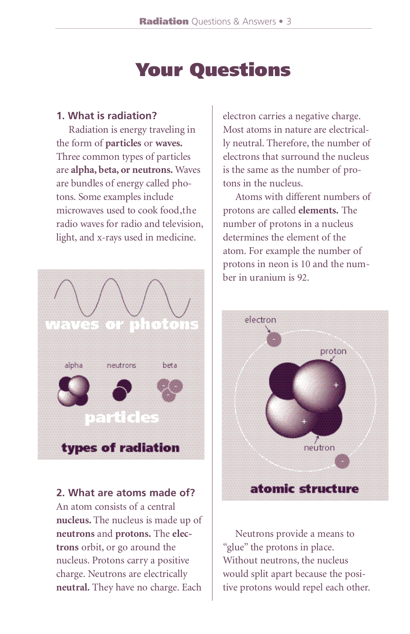# Your Questions

#### **1. What is radiation?**

Radiation is energy traveling in the form of **particles** or **waves**. Three common types of particles are **alpha**, **beta**, or neutrons. Waves are bundles of energy called photons. Some examples include microwaves used to cook food, the radio waves for radio and television, light, and x-rays used in medicine.



**2. What are atoms made of?** An atom consists of a central nucleus. The nucleus is made up of **neutrons** and **protons**. The **electrons** orbit, or go around the nucleus. Protons carry a positive charge. Neutrons are electrically neutral. They have no charge. Each

electron carries a negative charge. Most atoms in nature are electrically neutral. Therefore, the number of electrons that surround the nucleus is the same as the number of protons in the nucleus.

Atoms with different numbers of protons are called **elements**. The number of protons in a nucleus determines the element of the atom. For example the number of protons in neon is 10 and the number in uranium is 92.



Neutrons provide a means to "glue" the protons in place. Without neutrons, the nucleus would split apart because the positive protons would repel each other.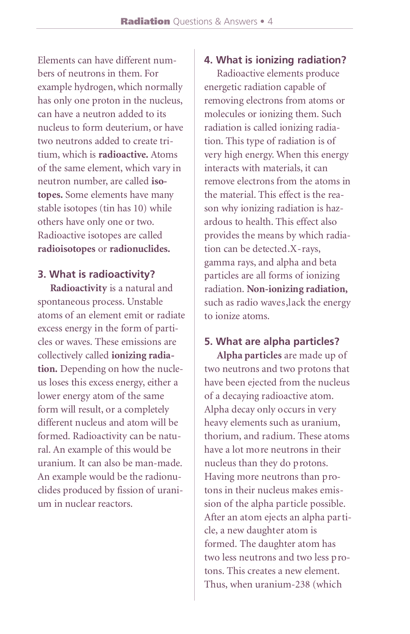Elements can have different numbers of neutrons in them. For example hydrogen, which normally has only one proton in the nucleus, can have a neutron added to its nucleus to form deuterium, or have two neutrons added to create tritium, which is **radioactive**. Atoms of the same element, which vary in neutron number, are called **isotopes.** Some elements have many stable isotopes (tin has 10) while others have only one or two. Radioactive isotopes are called radioisotopes or radionuclides.

**3. What is radioactivity?**

**Radioactivity** is a natural and spontaneous process. Unstable atoms of an element emit or radiate excess energy in the form of particles or waves. These emissions are collectively called **ionizing radiation.** Depending on how the nucleus loses this excess energy, either a lower energy atom of the same form will result, or a completely different nucleus and atom will be formed. Radioactivity can be natural. An example of this would be uranium. It can also be man-made. An example would be the radionuclides produced by fission of uranium in nuclear reactors

#### **4. What is ionizing radiation?**

Radioactive elements produce energetic radiation capable of removing electrons from atoms or molecules or ionizing them. Such radiation is called ionizing radiation. This type of radiation is of very high energy. When this energy interacts with materials, it can remove electrons from the atoms in the material. This effect is the reason why ionizing radiation is hazardous to health. This effect also provides the means by which radiation can be detected.X-rays, gamma rays, and alpha and beta particles are all forms of ionizing radiation. Non-ionizing radiation, such as radio waves, lack the energy to ionize atoms.

#### **5. What are alpha particles?**

**Alpha particles** are made up of two neutrons and two protons that have been ejected from the nucleus of a decaying radioactive atom. Alpha decay only occurs in very heavy elements such as uranium, thorium, and radium. These atoms have a lot more neutrons in their nucleus than they do protons. Having more neutrons than protons in their nucleus makes emission of the alpha particle possible. After an atom ejects an alpha particle, a new daughter atom is formed. The daughter atom has two less neutrons and two less protons. This creates a new element. Thus, when uranium-238 (which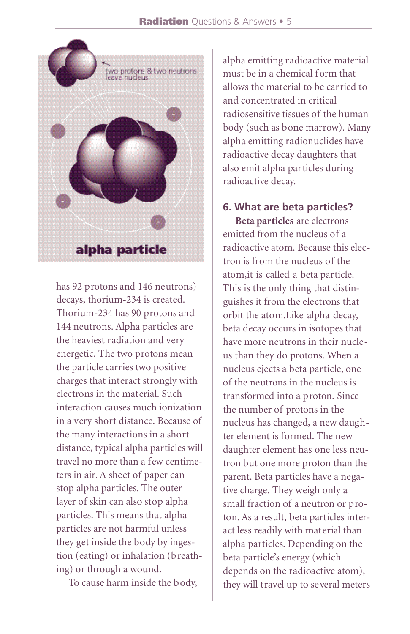

has 92 protons and 146 neutrons) decays, thorium-234 is created. Thorium-234 has 90 protons and 144 neutrons. Alpha particles are the heaviest radiation and very energetic. The two protons mean the particle carries two positive charges that interact strongly with electrons in the material. Such interaction causes much ionization in a very short distance. Because of the many interactions in a short distance, typical alpha particles will travel no more than a few centimeters in air. A sheet of paper can stop alpha particles. The outer layer of skin can also stop alpha particles. This means that alpha particles are not harmful unless they get inside the body by ingestion (eating) or inhalation (breathing) or through a wound.

To cause harm inside the body,

alpha emitting radioactive material must be in a chemical form that allows the material to be carried to and concentrated in critical radiosensitive tissues of the human body (such as bone marrow). Many alpha emitting radionuclides have radioactive decay daughters that also emit alpha particles during radioactive decay.

# **6. What are beta particles?**

**Beta particles** are electrons emitted from the nucleus of a radioactive atom. Because this electron is from the nucleus of the atom,it is called a beta particle. This is the only thing that distinguishes it from the electrons that orbit the atom.Like alpha decay, beta decay occurs in isotopes that have more neutrons in their nucleus than they do protons. When a nucleus ejects a beta particle, one of the neutrons in the nucleus is transformed into a proton. Since the number of protons in the nucleus has changed, a new daughter element is formed. The new daughter element has one less neutron but one more proton than the parent. Beta particles have a negative charge. They weigh only a small fraction of a neutron or proton. As a result, beta particles interact less readily with material than alpha particles. Depending on the beta particle's energy (which depends on the radioactive atom), they will travel up to several meters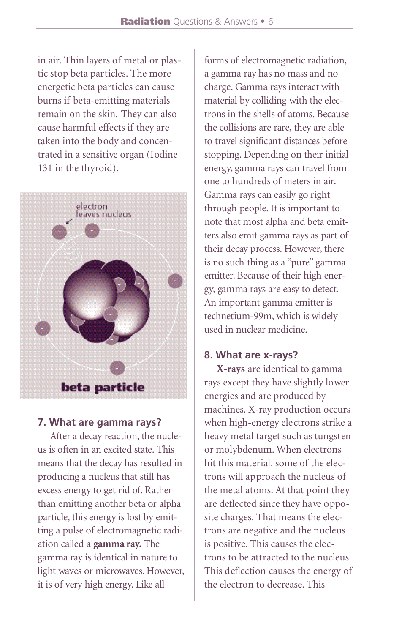in air. Thin layers of metal or plastic stop beta particles. The more energetic beta particles can cause burns if beta-emitting materials remain on the skin. They can also cause harmful effects if they are taken into the body and concentrated in a sensitive organ (Iodine 131 in the thyroid).



#### **7. What are gamma rays?**

After a decay reaction, the nucleus is often in an excited state. This means that the decay has resulted in producing a nucleus that still has excess energy to get rid of. Rather than emitting another beta or alpha particle, this energy is lost by emitting a pulse of electromagnetic radiation called a **gamma ray.** The gamma ray is identical in nature to light waves or microwaves. However, it is of very high energy. Like all

forms of electromagnetic radiation, a gamma ray has no mass and no charge. Gamma rays interact with material by colliding with the electrons in the shells of atoms. Because the collisions are rare, they are able to travel significant distances before stopping. Depending on their initial energy, gamma rays can travel from one to hundreds of meters in air. Gamma rays can easily go right through people. It is important to note that most alpha and beta emitters also emit gamma rays as part of their decay process. However, there is no such thing as a "pure" gamma emitter. Because of their high energy, gamma rays are easy to detect. An important gamma emitter is technetium-99m, which is widely used in nuclear medicine

#### **8. What are x-rays?**

**X-rays** are identical to gamma rays except they have slightly lower energies and are produced by machines. X-ray production occurs when high-energy electrons strike a heavy metal target such as tungsten or molybdenum. When electrons hit this material, some of the electrons will approach the nucleus of the metal atoms. At that point they are deflected since they have opposite charges. That means the electrons are negative and the nucleus is positive. This causes the electrons to be attracted to the nucleus. This deflection causes the energy of the electron to decrease. This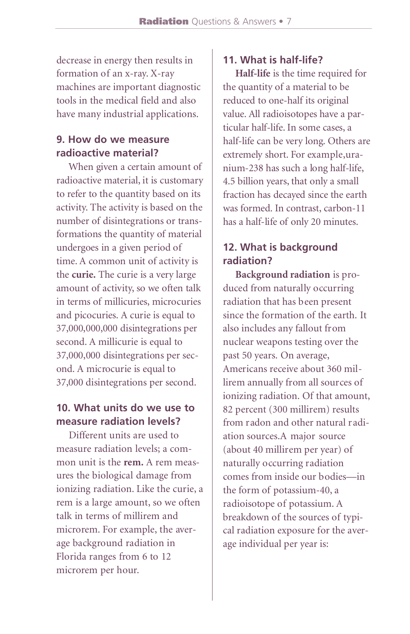decrease in energy then results in formation of an x-ray. X-ray machines are important diagnostic tools in the medical field and also have many industrial applications.

#### **9. How do we measure radioactive material?**

When given a certain amount of radioactive material, it is customary to refer to the quantity based on its activity. The activity is based on the number of disintegrations or transformations the quantity of material undergoes in a given period of time. A common unit of activity is the **curie.** The curie is a very large amount of activity, so we often talk in terms of millicuries, microcuries and picocuries. A curie is equal to 37,000,000,000 disintegrations per second. A millicurie is equal to 37,000,000 disintegrations per second. A microcurie is equal to 37,000 disintegrations per second.

## **10. What units do we use to measure radiation levels?**

Different units are used to measure radiation levels; a common unit is the **rem.** A rem measures the biological damage from ionizing radiation. Like the curie, a rem is a large amount, so we often talk in terms of millirem and microrem. For example, the average background radiation in Florida ranges from 6 to 12 microrem per hour.

# **11. What is half-life?**

**Half-life** is the time required for the quantity of a material to be reduced to one-half its original value. All radioisotopes have a particular half-life. In some cases, a half-life can be very long. Others are extremely short. For example, uranium-238 has such a long half-life, 4.5 billion years, that only a small fraction has decayed since the earth was formed. In contrast, carbon-11 has a half-life of only 20 minutes.

# **12. What is background radiation?**

**Background radiation** is produced from naturally occurring radiation that has been present since the formation of the earth. It also includes any fallout from nuclear weapons testing over the past 50 years. On average, Americans receive about 360 millirem annually from all sources of ionizing radiation. Of that amount, 82 percent (300 millirem) results from radon and other natural radiation sources.A major source (about 40 millirem per year) of naturally occurring radiation comes from inside our bodies—in the form of potassium-40, a radioisotope of potassium. A breakdown of the sources of typical radiation exposure for the average individual per year is: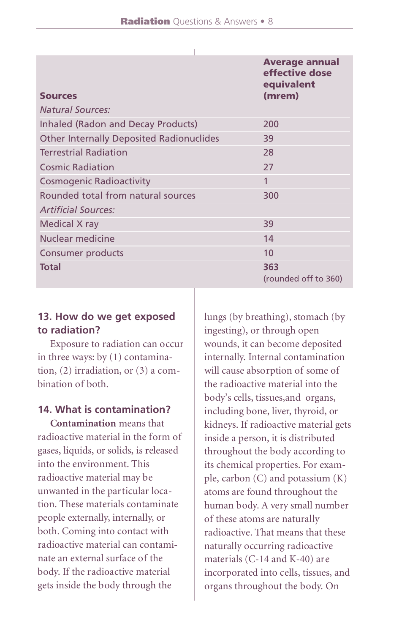| <b>Sources</b>                                  | <b>Average annual</b><br>effective dose<br>equivalent<br>(mrem) |
|-------------------------------------------------|-----------------------------------------------------------------|
| <b>Natural Sources:</b>                         |                                                                 |
| Inhaled (Radon and Decay Products)              | 200                                                             |
| <b>Other Internally Deposited Radionuclides</b> | 39                                                              |
| <b>Terrestrial Radiation</b>                    | 28                                                              |
| <b>Cosmic Radiation</b>                         | 27                                                              |
| Cosmogenic Radioactivity                        | 1                                                               |
| Rounded total from natural sources              | 300                                                             |
| <b>Artificial Sources:</b>                      |                                                                 |
| Medical X ray                                   | 39                                                              |
| Nuclear medicine                                | 14                                                              |
| Consumer products                               | 10 <sup>2</sup>                                                 |
| <b>Total</b>                                    | 363<br>(rounded off to 360)                                     |

# **13. How do we get exposed to radiation?**

Exposure to radiation can occur in three ways: by (1) contamination, (2) irradiation, or (3) a combination of both.

#### **14. What is contamination?**

**Contamination** means that radioactive material in the form of gases, liquids, or solids, is released into the environment. This radioactive material may be unwanted in the particular location. These materials contaminate people externally, internally, or both. Coming into contact with radioactive material can contaminate an external surface of the body. If the radioactive material gets inside the body through the

lungs (by breathing), stomach (by ingesting), or through open wounds, it can become deposited internally. Internal contamination will cause absorption of some of the radioactive material into the body's cells, tissues,and organs, including bone, liver, thyroid, or kidneys. If radioactive material gets inside a person, it is distributed throughout the body according to its chemical properties. For example, carbon (C) and potassium (K) atoms are found throughout the human body. A very small number of these atoms are naturally radioactive. That means that these naturally occurring radioactive materials (C-14 and K-40) are incorporated into cells, tissues, and organs throughout the body. On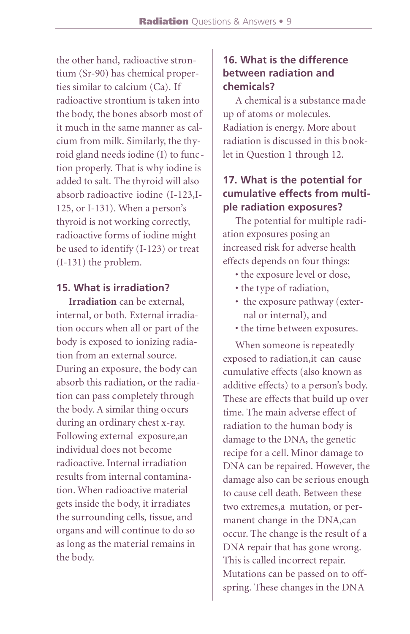the other hand, radioactive strontium (Sr-90) has chemical properties similar to calcium (Ca). If radioactive strontium is taken into the body, the bones absorb most of it much in the same manner as calcium from milk. Similarly, the thyroid gland needs iodine (I) to function properly. That is why iodine is added to salt. The thyroid will also absorb radioactive iodine (I-123,I-125, or I-131). When a person's thyroid is not working correctly, radioactive forms of iodine might be used to identify (I-123) or treat (I-131) the problem.

#### **15. What is irradiation?**

**Irradiation** can be external, internal, or both. External irradiation occurs when all or part of the body is exposed to ionizing radiation from an external source. During an exposure, the body can absorb this radiation, or the radiation can pass completely through the body. A similar thing occurs during an ordinary chest x-ray. Following external exposure,an individual does not become radioactive. Internal irradiation results from internal contamination. When radioactive material gets inside the body, it irradiates the surrounding cells, tissue, and organs and will continue to do so as long as the material remains in the body.

### **16. What is the difference between radiation and chemicals?**

A chemical is a substance made up of atoms or molecules. Radiation is energy. More about radiation is discussed in this booklet in Question 1 through 12.

#### **17. What is the potential for cumulative effects from multiple radiation exposures?**

The potential for multiple radiation exposures posing an increased risk for adverse health effects depends on four things:

- the exposure level or dose,
- the type of radiation,
- the exposure pathway (external or internal), and
- the time between exposures.

When someone is repeatedly exposed to radiation,it can cause cumulative effects (also known as additive effects) to a person's body. These are effects that build up over time. The main adverse effect of radiation to the human body is damage to the DNA, the genetic recipe for a cell. Minor damage to DNA can be repaired. However, the damage also can be serious enough to cause cell death. Between these two extremes,a mutation, or permanent change in the DNA,can occur. The change is the result of a DNA repair that has gone wrong. This is called incorrect repair. Mutations can be passed on to offspring. These changes in the DNA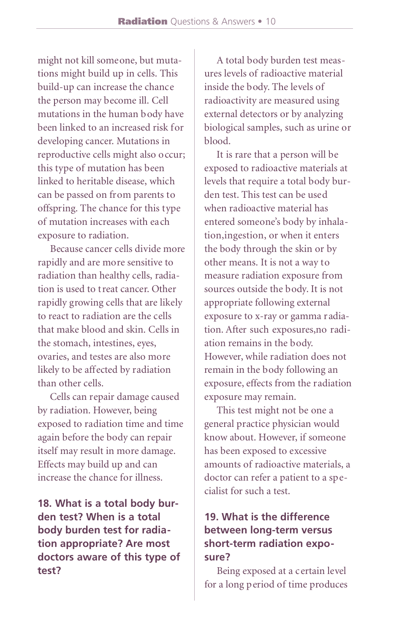might not kill someone, but mutations might build up in cells. This build-up can increase the chance the person may become ill. Cell mutations in the human body have been linked to an increased risk for developing cancer. Mutations in reproductive cells might also occur; this type of mutation has been linked to heritable disease, which can be passed on from parents to offspring. The chance for this type of mutation increases with each exposure to radiation.

Because cancer cells divide more rapidly and are more sensitive to radiation than healthy cells, radiation is used to treat cancer. Other rapidly growing cells that are likely to react to radiation are the cells that make blood and skin. Cells in the stomach, intestines, eyes, ovaries, and testes are also more likely to be affected by radiation than other cells.

Cells can repair damage caused by radiation. However, being exposed to radiation time and time again before the body can repair itself may result in more damage. Effects may build up and can increase the chance for illness.

**18. What is a total body burden test? When is a total body burden test for radiation appropriate? Are most doctors aware of this type of test?**

A total body burden test measures levels of radioactive material inside the body. The levels of radioactivity are measured using external detectors or by analyzing biological samples, such as urine or blood.

It is rare that a person will be exposed to radioactive materials at levels that require a total body burden test. This test can be used when radioactive material has entered someone's body by inhalation,ingestion, or when it enters the body through the skin or by other means. It is not a way to measure radiation exposure from sources outside the body. It is not appropriate following external exposure to x-ray or gamma radiation. After such exposures,no radiation remains in the body. However, while radiation does not remain in the body following an exposure, effects from the radiation exposure may remain.

This test might not be one a general practice physician would know about. However, if someone has been exposed to excessive amounts of radioactive materials, a doctor can refer a patient to a specialist for such a test.

# **19. What is the difference between long-term versus short-term radiation exposure?**

Being exposed at a certain level for a long period of time produces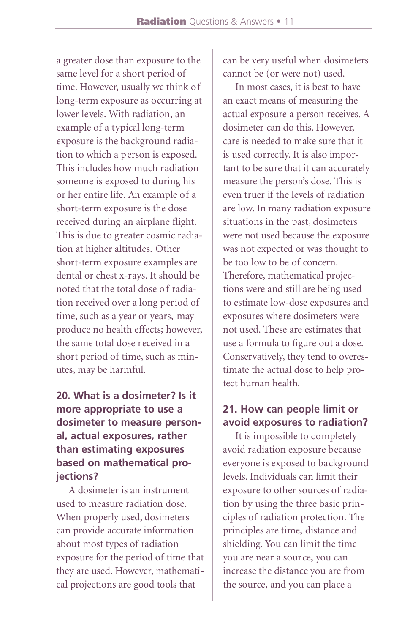a greater dose than exposure to the same level for a short period of time. However, usually we think of long-term exposure as occurring at lower levels. With radiation, an example of a typical long-term exposure is the background radiation to which a person is exposed. This includes how much radiation someone is exposed to during his or her entire life. An example of a short-term exposure is the dose received during an airplane flight. This is due to greater cosmic radiation at higher altitudes. Other short-term exposure examples are dental or chest x-rays. It should be noted that the total dose of radiation received over a long period of time, such as a year or years, may produce no health effects; however, the same total dose received in a short period of time, such as minutes, may be harmful.

# **20. What is a dosimeter? Is it** more appropriate to use a **dosimeter to measure personal, actual exposures, rather than estimating exposures based on mathematical projections?**

A dosimeter is an instrument used to measure radiation dose. When properly used, dosimeters can provide accurate information about most types of radiation exposure for the period of time that they are used. However, mathematical projections are good tools that

can be very useful when dosimeters cannot be (or were not) used.

In most cases, it is best to have an exact means of measuring the actual exposure a person receives. A dosimeter can do this. However, care is needed to make sure that it is used correctly. It is also important to be sure that it can accurately measure the person's dose. This is even truer if the levels of radiation are low. In many radiation exposure situations in the past, dosimeters were not used because the exposure was not expected or was thought to be too low to be of concern. Therefore, mathematical projections were and still are being used to estimate low-dose exposures and exposures where dosimeters were not used. These are estimates that use a formula to figure out a dose. Conservatively, they tend to overestimate the actual dose to help protect human health.

# **21. How can people limit or avoid exposures to radiation?**

It is impossible to completely avoid radiation exposure because everyone is exposed to background levels. Individuals can limit their exposure to other sources of radiation by using the three basic principles of radiation protection. The principles are time, distance and shielding. You can limit the time you are near a source, you can increase the distance you are from the source, and you can place a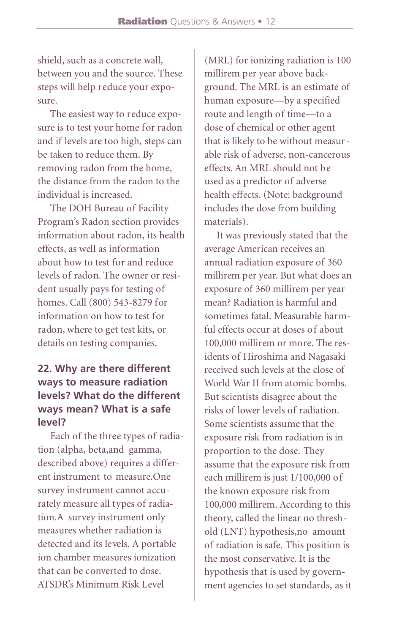shield, such as a concrete wall, between you and the source. These steps will help reduce your exposure.

The easiest way to reduce exposure is to test your home for radon and if levels are too high, steps can be taken to reduce them. By removing radon from the home, the distance from the radon to the individual is increased.

The DOH Bureau of Facility Program's Radon section provides information about radon, its health effects, as well as information about how to test for and reduce levels of radon. The owner or resident usually pays for testing of homes. Call (800) 543-8279 for information on how to test for radon, where to get test kits, or details on testing companies.

# **22. Why are there different ways to measure radiation levels? What do the different ways mean? What is a safe level?**

Each of the three types of radiation (alpha, beta,and gamma, described above) requires a different instrument to measure.One survey instrument cannot accurately measure all types of radiation.A survey instrument only measures whether radiation is detected and its levels. A portable ion chamber measures ionization that can be converted to dose. ATSDR's Minimum Risk Level

(MRL) for ionizing radiation is 100 millirem per year above background. The MRL is an estimate of human exposure—by a specified route and length of time—to a dose of chemical or other agent that is likely to be without measurable risk of adverse, non-cancerous effects. An MRL should not be used as a predictor of adverse health effects. (Note: background includes the dose from building materials).

It was previously stated that the average American receives an annual radiation exposure of 360 millirem per year. But what does an exposure of 360 millirem per year mean? Radiation is harmful and sometimes fatal. Measurable harmful effects occur at doses of about 100,000 millirem or more. The residents of Hiroshima and Nagasaki received such levels at the close of World War II from atomic bombs. But scientists disagree about the risks of lower levels of radiation. Some scientists assume that the exposure risk from radiation is in proportion to the dose. They assume that the exposure risk from each millirem is just 1/100,000 of the known exposure risk from 100,000 millirem. According to this theory, called the linear no threshold (LNT) hypothesis,no amount of radiation is safe. This position is the most conservative. It is the hypothesis that is used by government agencies to set standards, as it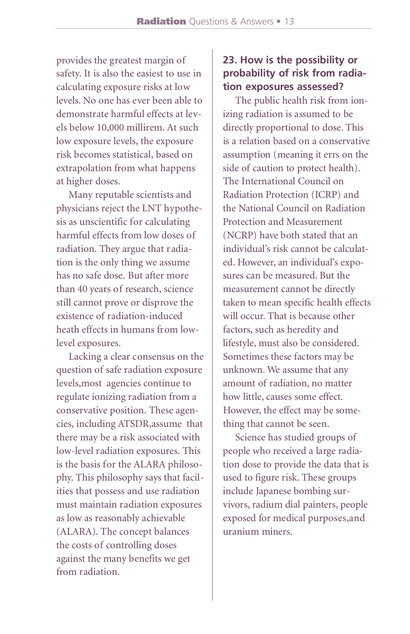provides the greatest margin of safety. It is also the easiest to use in calculating exposure risks at low levels. No one has ever been able to demonstrate harmful effects at levels below 10,000 millirem. At such low exposure levels, the exposure risk becomes statistical, based on extrapolation from what happens at higher doses.

Many reputable scientists and physicians reject the LNT hypothesis as unscientific for calculating harmful effects from low doses of radiation. They argue that radiation is the only thing we assume has no safe dose. But after more than 40 years of research, science still cannot prove or disprove the existence of radiation-induced heath effects in humans from lowlevel exposures.

Lacking a clear consensus on the question of safe radiation exposure levels,most agencies continue to regulate ionizing radiation from a conservative position. These agencies, including ATSDR,assume that there may be a risk associated with low-level radiation exposures. This is the basis for the ALARA philosophy. This philosophy says that facilities that possess and use radiation must maintain radiation exposures as low as reasonably achievable (ALARA). The concept balances the costs of controlling doses against the many benefits we get from radiation.

#### **23. How is the possibility or p robability of risk from radiation exposures assessed?**

The public health risk from ionizing radiation is assumed to be directly proportional to dose. This is a relation based on a conservative assumption (meaning it errs on the side of caution to protect health). The International Council on Radiation Protection (ICRP) and the National Council on Radiation Protection and Measurement (NCRP) have both stated that an individual's risk cannot be calculated. However, an individual's exposures can be measured. But the measurement cannot be directly taken to mean specific health effects will occur. That is because other factors, such as heredity and lifestyle, must also be considered. Sometimes these factors may be unknown. We assume that any amount of radiation, no matter how little, causes some effect. However, the effect may be something that cannot be seen.

Science has studied groups of people who received a large radiation dose to provide the data that is used to figure risk. These groups include Japanese bombing survivors, radium dial painters, people exposed for medical purposes, and uranium miners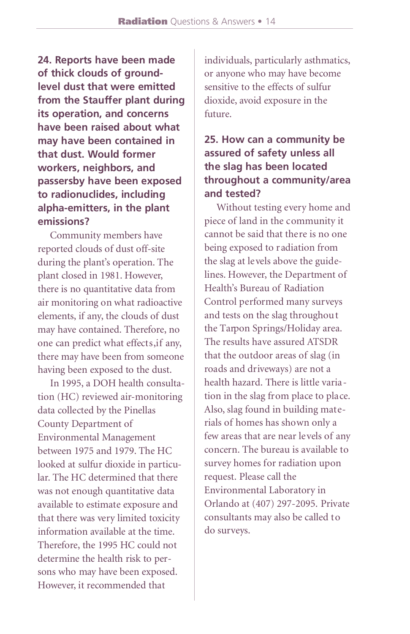**24. Reports have been made** of thick clouds of around**level dust that were emitted** from the Stauffer plant during **its operation, and concerns have been raised about what may have been contained in that dust. Would former workers, neighbors, and passersby have been exposed to radionuclides, including alpha-emitters, in the plant** emissions?

Community members have reported clouds of dust off-site during the plant's operation. The plant closed in 1981. However, there is no quantitative data from air monitoring on what radioactive elements, if any, the clouds of dust may have contained. Therefore, no one can predict what effects, if any, there may have been from someone having been exposed to the dust.

In 1995, a DOH health consultation (HC) reviewed air-monitoring data collected by the Pinellas County Department of Environmental Management bet ween 1975 and 1979. The HC looked at sulfur dioxide in particular. The HC determined that there was not enough quantitative data available to estimate exposure and that there was very limited toxicity information available at the time. Therefore, the 1995 HC could not determine the health risk to persons who may have been exposed. However, it recommended that

individuals, particularly asthmatics, or anyone who may have become sensitive to the effects of sulfur dioxide, avoid exposure in the future.

## **25. How can a community be** assured of safety unless all **the slag has been located** throughout a community/area **and tested?**

Without testing every home and piece of land in the community it cannot be said that there is no one being exposed to radiation from the slag at levels above the guidelines. However, the Department of Health's Bureau of Radiation Control performed many surveys and tests on the slag throughout the Tarpon Springs/Holiday area. The results have assured ATSDR that the outdoor areas of slag (in roads and driveways) are not a health hazard. There is little variation in the slag from place to place. Also, slag found in building materials of homes has shown only a few areas that are near levels of any concern. The bureau is available to survey homes for radiation upon request. Please call the Environmental Laboratory in Orlando at (407) 297-2095. Private consultants may also be called to do surveys.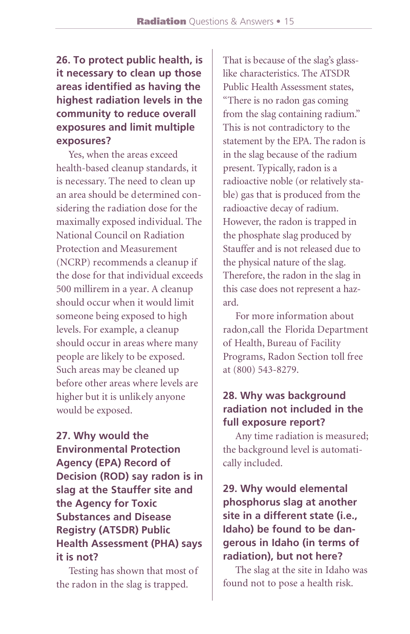# **26. To protect public health, is it necessary to clean up those areas identified as having the highest radiation levels in the community to reduce overall exposures and limit multiple exposures?**

Yes, when the areas exceed health-based cleanup standards, it is necessary. The need to clean up an area should be determined considering the radiation dose for the maximally exposed individual. The National Council on Radiation Protection and Measurement (NCRP) recommends a cleanup if the dose for that individual exceeds 500 millirem in a year. A cleanup should occur when it would limit someone being exposed to high levels. For example, a cleanup should occur in areas where many people are likely to be exposed. Such areas may be cleaned up before other areas where levels are higher but it is unlikely anyone would be exposed.

**27. Why would the Environmental Protection Agency (EPA) Record of Decision (ROD) say radon is in slag at the Stauffer site and the Agency for Toxic Substances and Disease Registry (ATSDR) Public Health Assessment (PHA) says it is not?**

Testing has shown that most of the radon in the slag is trapped.

That is because of the slag's glasslike characteristics. The ATSDR Public Health Assessment states. "There is no radon gas coming" from the slag containing radium." This is not contradictory to the statement by the EPA. The radon is in the slag because of the radium present. Typically, radon is a radioactive noble (or relatively stable) gas that is produced from the radioactive decay of radium. However, the radon is trapped in the phosphate slag produced by Stauffer and is not released due to the physical nature of the slag. Therefore, the radon in the slag in this case does not represent a hazard.

For more information about radon,call the Florida Department of Health, Bureau of Facility Programs, Radon Section toll free at (800) 543-8279.

## **28. Why was background radiation not included in the full exposure report?**

Any time radiation is measured; the background level is automatically included.

# **29. Why would elemental phosphorus slag at another site in a different state (i.e., Idaho) be found to be dangerous in Idaho (in terms of radiation), but not here?**

The slag at the site in Idaho was found not to pose a health risk.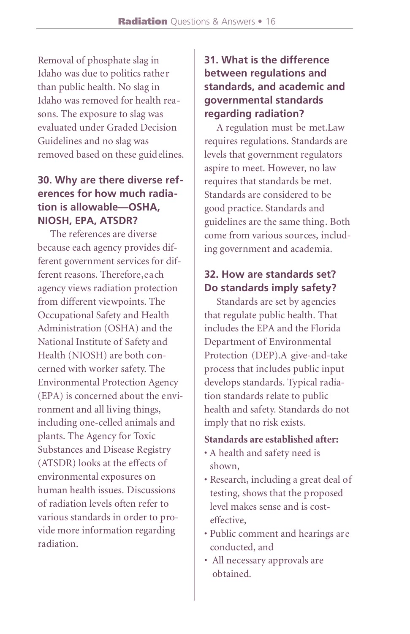Removal of phosphate slag in Idaho was due to politics rather than public health. No slag in Idaho was removed for health reasons. The exposure to slag was evaluated under Graded Decision Guidelines and no slag was removed based on these guidelines.

## **30. Why are there diverse references for how much radiation is allowable—OSHA, NIOSH, EPA, ATSDR?**

The references are diverse because each agency provides different government services for different reasons. Therefore,each agency views radiation protection from different viewpoints. The Occupational Safety and Health Administration (OSHA) and the National Institute of Safety and Health (NIOSH) are both concerned with worker safety. The Environmental Protection Agency (EPA) is concerned about the environment and all living things, including one-celled animals and plants. The Agency for Toxic Substances and Disease Registry (ATSDR) looks at the effects of environmental exposures on human health issues. Discussions of radiation levels often refer to various standards in order to provide more information regarding radiation.

# **31. What is the difference between regulations and standards, and academic and governmental standards regarding radiation?**

A regulation must be met.Law requires regulations. Standards are levels that government regulators aspire to meet. However, no law requires that standards be met. Standards are considered to be good practice. Standards and guidelines are the same thing. Both come from various sources, including government and academia.

## **32. How are standards set? Do standards imply safety?**

Standards are set by agencies that regulate public health. That includes the EPA and the Florida Department of Environmental Protection (DEP).A give-and-take process that includes public input develops standards. Typical radiation standards relate to public health and safety. Standards do not imply that no risk exists.

#### **Standards are established after:**

- A health and safety need is shown,
- Research, including a great deal of testing, shows that the proposed level makes sense and is costeffective,
- Public comment and hearings are conducted, and
- All necessary approvals are obtained.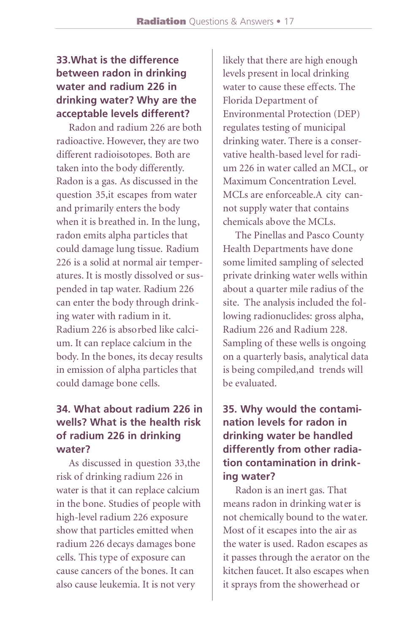# **33.What is the difference between radon in drinking water and radium 226 in drinking water? Why are the acceptable levels different?**

Radon and radium 226 are both radioactive. However, they are two different radioisotopes. Both are taken into the body differently. Radon is a gas. As discussed in the question 35,it escapes from water and primarily enters the body when it is breathed in. In the lung, radon emits alpha particles that could damage lung tissue. Radium 226 is a solid at normal air temperatures. It is mostly dissolved or suspended in tap water. Radium 226 can enter the body through drinking water with radium in it. Radium 226 is absorbed like calcium. It can replace calcium in the body. In the bones, its decay results in emission of alpha particles that could damage bone cells.

# **34. What about radium 226 in wells? What is the health risk of radium 226 in drinking water?**

As discussed in question 33,the risk of drinking radium 226 in water is that it can replace calcium in the bone. Studies of people with high-level radium 226 exposure show that particles emitted when radium 226 decays damages bone cells. This type of exposure can cause cancers of the bones. It can also cause leukemia. It is not very

likely that there are high enough levels present in local drinking water to cause these effects. The Florida Department of Environmental Protection (DEP) regulates testing of municipal drinking water. There is a conservative health-based level for radium 226 in water called an MCL, or Maximum Concentration Level. MCLs are enforceable.A city cannot supply water that contains chemicals above the MCLs.

The Pinellas and Pasco County Health Departments have done some limited sampling of selected private drinking water wells within about a quarter mile radius of the site. The analysis included the following radionuclides: gross alpha, Radium 226 and Radium 228. Sampling of these wells is ongoing on a quarterly basis, analytical data is being compiled,and trends will be evaluated.

# **35. Why would the contamination levels for radon in drinking water be handled differently from other radiation contamination in drinking water?**

Radon is an inert gas. That means radon in drinking water is not chemically bound to the water. Most of it escapes into the air as the water is used. Radon escapes as it passes through the aerator on the kitchen faucet. It also escapes when it sprays from the showerhead or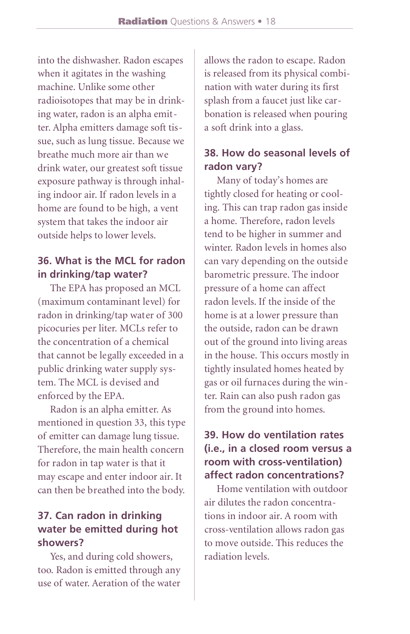into the dishwasher. Radon escapes when it agitates in the washing machine. Unlike some other radioisotopes that may be in drinking water, radon is an alpha emitter. Alpha emitters damage soft tissue, such as lung tissue. Because we breathe much more air than we drink water, our greatest soft tissue exposure pathway is through inhaling indoor air. If radon levels in a home are found to be high, a vent system that takes the indoor air outside helps to lower levels.

# **36. What is the MCL for radon in drinking/tap water?**

The EPA has proposed an MCL (maximum contaminant level) for radon in drinking/tap water of 300 picocuries per liter. MCLs refer to the concentration of a chemical that cannot be legally exceeded in a public drinking water supply system. The MCL is devised and enforced by the EPA.

Radon is an alpha emitter. As mentioned in question 33, this type of emitter can damage lung tissue. Therefore, the main health concern for radon in tap water is that it may escape and enter indoor air. It can then be breathed into the body.

# **37. Can radon in drinking water be emitted during hot showers?**

Yes, and during cold showers, too. Radon is emitted through any use of water. Aeration of the water allows the radon to escape. Radon is released from its physical combination with water during its first splash from a faucet just like carbonation is released when pouring a soft drink into a glass.

#### **38. How do seasonal levels of radon vary?**

Many of today's homes are tightly closed for heating or cooling. This can trap radon gas inside a home. Therefore, radon levels tend to be higher in summer and winter. Radon levels in homes also can vary depending on the outside barometric pressure. The indoor pressure of a home can affect radon levels. If the inside of the home is at a lower pressure than the outside, radon can be drawn out of the ground into living areas in the house. This occurs mostly in tightly insulated homes heated by gas or oil furnaces during the winter. Rain can also push radon gas from the ground into homes.

# **39. How do ventilation rates (i.e., in a closed room versus a room with cross-ventilation) affect radon concentrations?**

Home ventilation with outdoor air dilutes the radon concentrations in indoor air. A room with cross-ventilation allows radon gas to move outside. This reduces the radiation levels.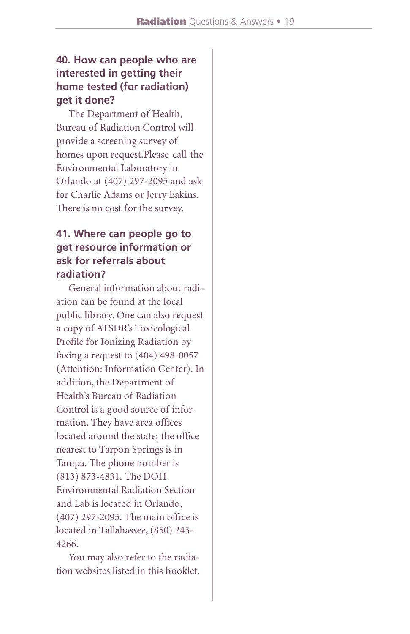# **40. How can people who are interested in getting their home tested (for radiation) get it done?**

The Department of Health, Bureau of Radiation Control will provide a screening survey of homes upon request.Please call the Environmental Laboratory in Orlando at (407) 297-2095 and ask for Charlie Adams or Jerry Eakins. There is no cost for the survey.

## **41. Where can people go to get resource information or ask for referrals about radiation?**

General information about radiation can be found at the local public library. One can also request a copy of ATSDR's Toxicological Profile for Ionizing Radiation by faxing a request to (404) 498-0057 (Attention: Information Center). In addition, the Department of Health's Bureau of Radiation Control is a good source of information. They have area offices located around the state; the office nearest to Tarpon Springs is in Tampa. The phone number is (813) 873-4831. The DOH Environmental Radiation Section and Lab is located in Orlando, (407) 297-2095. The main office is located in Tallahassee,(850) 245- 4266.

You may also refer to the radiation websites listed in this booklet.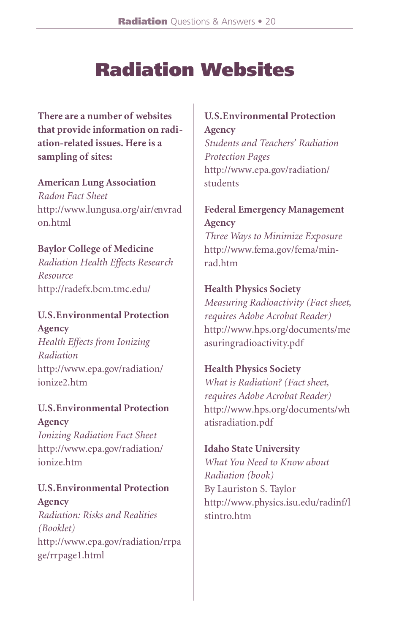# Radiation Websites

**There are a number of websites that provide information on radiation-related issues. Here is a sampling of sites:**

**American Lung Association** *Radon Fact Sheet* http://www.lungusa.org/air/envrad on.html

**Baylor College of Medicine** *Radiation Health Effects Research Resource*

http://radefx.bcm.tmc.edu/

**U.S.Environmental Protection Agency** *Health Effects from Ionizing Radiation* http://www.epa.gov/radiation/ ionize2.htm

**U.S.Environmental Protection Agency** *Ionizing Radiation Fact Sheet* http://www.epa.gov/radiation/ ionize.htm

**U.S.Environmental Protection Agency** *Radiation: Risks and Realities (Booklet)* http://www.epa.gov/radiation/rrpa ge/rrpage1.html

**U.S.Environmental Protection Agency** *Students and Teachers' Radiation Protection Pages* http://www.epa.gov/radiation/ students

**Federal Emergency Management Agency** *Three Ways to Minimize Exposure* http://www.fema.gov/fema/minrad.htm

#### **Health Physics Society**

*Measuring Radioactivity (Fact sheet, requires Adobe Acrobat Reader)* http://www.hps.org/documents/me asuringradioactivity.pdf

**Health Physics Society**

*What is Radiation? (Fact sheet, requires Adobe Acrobat Reader)* http://www.hps.org/documents/wh atisradiation.pdf

**Idaho State University** *What You Need to Know about Radiation (book)* By Lauriston S. Taylor http://www.physics.isu.edu/radinf/l stintro.htm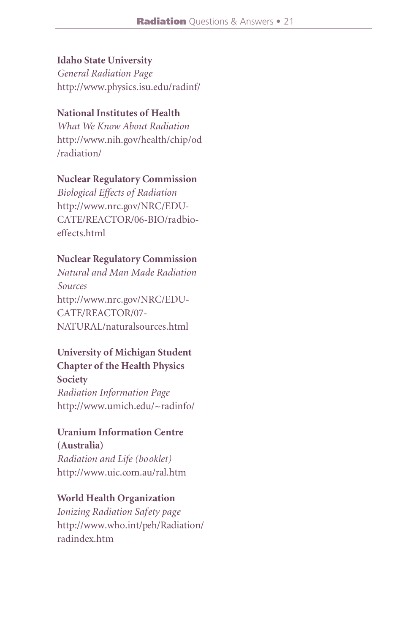#### **Idaho State University**

*General Radiation Page* http://www.physics.isu.edu/radinf/

#### **National Institutes of Health**

*What We Know About Radiation* http://www.nih.gov/health/chip/od /radiation/

#### **Nuclear Regulatory Commission**

*Biological Effects of Radiation* http://www.nrc.gov/NRC/EDU-CATE/REACTOR/06-BIO/radbioeffects.html

#### **Nuclear Regulatory Commission**

*Natural and Man Made Radiation Sources* http://www.nrc.gov/NRC/EDU-CATE/REACTOR/07- NATURAL/naturalsources.html

#### **University of Michigan Student Chapter of the Health Physics Society**

*Radiation Information Page* http://www.umich.edu/~radinfo/

# **Uranium Information Centre**

**(Australia)** *Radiation and Life (booklet)* http://www.uic.com.au/ral.htm

#### **World Health Organization**

*Ionizing Radiation Safety page* http://www.who.int/peh/Radiation/ radindex.htm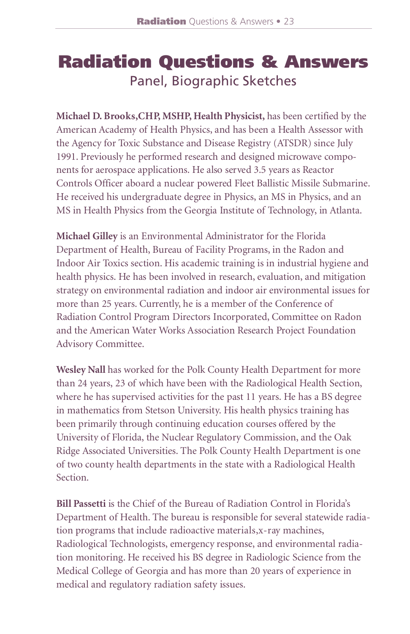# Radiation Questions & Answers Panel, Biographic Sketches

**Michael D. Brooks, CHP, MSHP, Health Physicist, has been certified by the** American Academy of Health Physics, and has been a Health Assessor with the Agency for Toxic Substance and Disease Registry (ATSDR) since July 1991. Previously he performed research and designed microwave components for aerospace applications. He also served 3.5 years as Reactor Controls Officer aboard a nuclear powered Fleet Ballistic Missile Submarine. He received his undergraduate degree in Physics, an MS in Physics, and an MS in Health Physics from the Georgia Institute of Technology, in Atlanta.

**Michael Gilley** is an Environmental Administrator for the Florida Department of Health, Bureau of Facility Programs, in the Radon and Indoor Air Toxics section. His academic training is in industrial hygiene and health physics. He has been involved in research, evaluation, and mitigation strategy on environmental radiation and indoor air environmental issues for more than 25 years. Currently, he is a member of the Conference of Radiation Control Program Directors Incorporated, Committee on Radon and the American Water Works Association Research Project Foundation Advisory Committee.

Wesley Nall has worked for the Polk County Health Department for more than 24 years, 23 of which have been with the Radiological Health Section, where he has supervised activities for the past 11 years. He has a BS degree in mathematics from Stetson University. His health physics training has been primarily through continuing education courses offered by the University of Florida, the Nuclear Regulatory Commission, and the Oak Ridge Associated Universities. The Polk County Health Department is one of two county health departments in the state with a Radiological Health Section.

**Bill Passetti** is the Chief of the Bureau of Radiation Control in Florida's Department of Health. The bureau is responsible for several statewide radiation programs that include radioactive materials, x-ray machines, Radiological Technologists, emergency response, and environmental radiation monitoring. He received his BS degree in Radiologic Science from the Medical College of Georgia and has more than 20 years of experience in medical and regulatory radiation safety issues.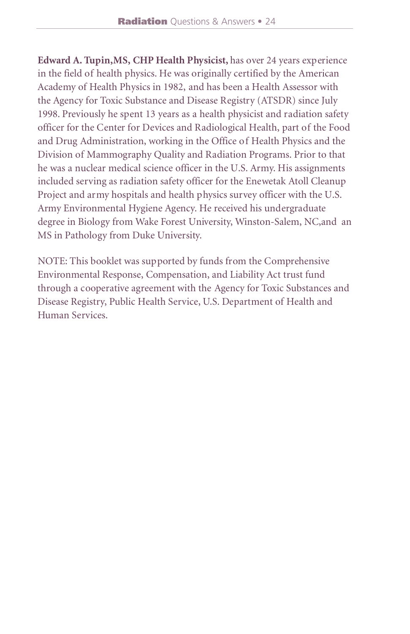**Edward A. Tupin,MS, CHP Health Physicist,** has over 24 years experience in the field of health physics. He was originally certified by the American Academy of Health Physics in 1982, and has been a Health Assessor with the Agency for Toxic Substance and Disease Registry (ATSDR) since July 1998. Previously he spent 13 years as a health physicist and radiation safety officer for the Center for Devices and Radiological Health, part of the Food and Drug Administration, working in the Office of Health Physics and the Division of Mammography Quality and Radiation Programs. Prior to that he was a nuclear medical science officer in the U.S. Army. His assignments included serving as radiation safety officer for the Enewetak Atoll Cleanup Project and army hospitals and health physics survey officer with the U.S. Army Environmental Hygiene Agency. He received his undergraduate degree in Biology from Wake Forest University, Winston-Salem, NC,and an MS in Pathology from Duke University.

NOTE: This booklet was supported by funds from the Comprehensive Environmental Response, Compensation, and Liability Act trust fund through a cooperative agreement with the Agency for Toxic Substances and Disease Registry, Public Health Service, U.S. Department of Health and Human Services.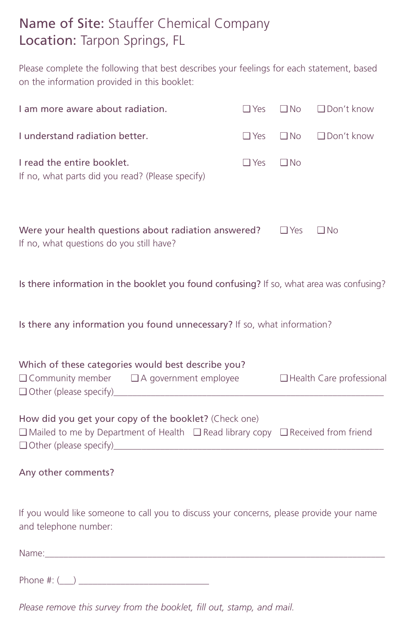# Name of Site: Stauffer Chemical Company Location: Tarpon Springs, FL

Please complete the following that best describes your feelings for each statement, based on the information provided in this booklet:

| I am more aware about radiation.                                                                                                           | $\Box$ Yes | $\square$ No | $\Box$ Don't know          |  |  |  |  |
|--------------------------------------------------------------------------------------------------------------------------------------------|------------|--------------|----------------------------|--|--|--|--|
| I understand radiation better.                                                                                                             | $\Box$ Yes | $\Box$ No    | $\Box$ Don't know          |  |  |  |  |
| I read the entire booklet.<br>If no, what parts did you read? (Please specify)                                                             | $\Box$ Yes | $\Box$ No    |                            |  |  |  |  |
| Were your health questions about radiation answered?<br>$\Box$ Yes<br>$\Box$ No<br>If no, what questions do you still have?                |            |              |                            |  |  |  |  |
| Is there information in the booklet you found confusing? If so, what area was confusing?                                                   |            |              |                            |  |  |  |  |
| Is there any information you found unnecessary? If so, what information?                                                                   |            |              |                            |  |  |  |  |
| Which of these categories would best describe you?<br>$\Box$ Community member $\Box$ A government employee                                 |            |              | □ Health Care professional |  |  |  |  |
| How did you get your copy of the booklet? (Check one)<br>□ Mailed to me by Department of Health □ Read library copy □ Received from friend |            |              |                            |  |  |  |  |
| Any other comments?                                                                                                                        |            |              |                            |  |  |  |  |
| If you would like someone to call you to discuss your concerns, please provide your name<br>and telephone number:                          |            |              |                            |  |  |  |  |
| Name:                                                                                                                                      |            |              |                            |  |  |  |  |

Phone #: (\_\_\_) \_\_\_\_\_\_\_\_\_\_\_\_\_\_\_\_\_\_\_\_\_\_\_\_\_\_\_\_

*Please remove this survey from the booklet, fill out, stamp, and mail.*